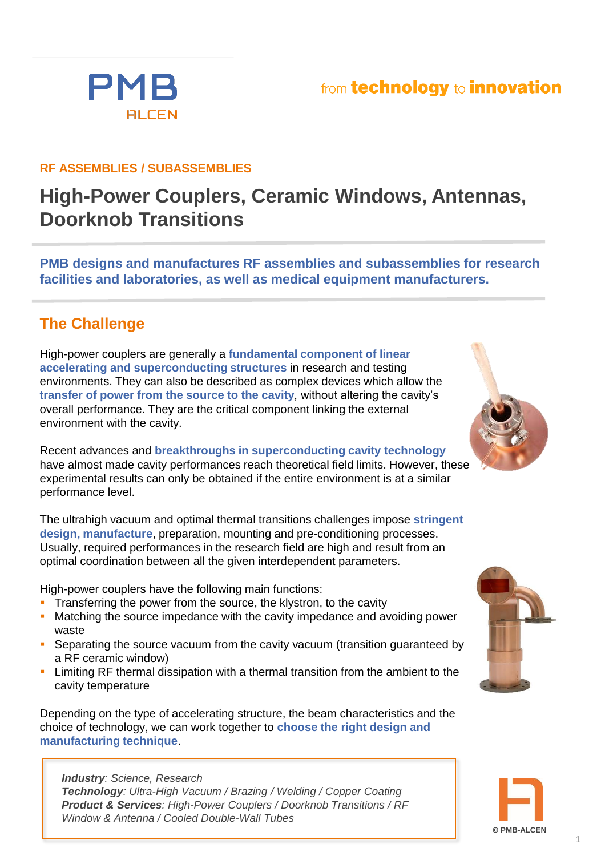## from technology to innovation

## **RF ASSEMBLIES / SUBASSEMBLIES**

## **High-Power Couplers, Ceramic Windows, Antennas, Doorknob Transitions**

**PMB designs and manufactures RF assemblies and subassemblies for research facilities and laboratories, as well as medical equipment manufacturers.**

## **The Challenge**

High-power couplers are generally a **fundamental component of linear accelerating and superconducting structures** in research and testing environments. They can also be described as complex devices which allow the **transfer of power from the source to the cavity**, without altering the cavity's overall performance. They are the critical component linking the external environment with the cavity.

Recent advances and **breakthroughs in superconducting cavity technology**  have almost made cavity performances reach theoretical field limits. However, these experimental results can only be obtained if the entire environment is at a similar performance level.

The ultrahigh vacuum and optimal thermal transitions challenges impose **stringent design, manufacture**, preparation, mounting and pre-conditioning processes. Usually, required performances in the research field are high and result from an optimal coordination between all the given interdependent parameters.

High-power couplers have the following main functions:

- Transferring the power from the source, the klystron, to the cavity
- Matching the source impedance with the cavity impedance and avoiding power waste
- **Separating the source vacuum from the cavity vacuum (transition guaranteed by** a RF ceramic window)
- Limiting RF thermal dissipation with a thermal transition from the ambient to the cavity temperature

Depending on the type of accelerating structure, the beam characteristics and the choice of technology, we can work together to **choose the right design and manufacturing technique**.

*Industry: Science, Research Technology: Ultra-High Vacuum / Brazing / Welding / Copper Coating Product & Services: High-Power Couplers / Doorknob Transitions / RF Window & Antenna / Cooled Double-Wall Tubes* 



**© PMB-ALCEN**